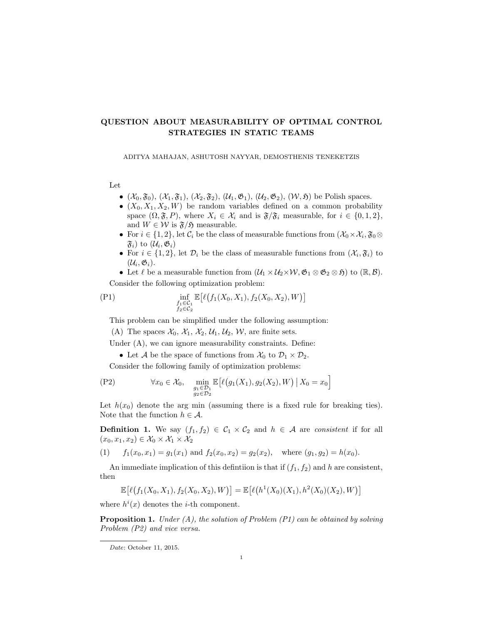## QUESTION ABOUT MEASURABILITY OF OPTIMAL CONTROL STRATEGIES IN STATIC TEAMS

ADITYA MAHAJAN, ASHUTOSH NAYYAR, DEMOSTHENIS TENEKETZIS

Let

- $(\mathcal{X}_0, \mathfrak{F}_0), (\mathcal{X}_1, \mathfrak{F}_1), (\mathcal{X}_2, \mathfrak{F}_2), (\mathcal{U}_1, \mathfrak{G}_1), (\mathcal{U}_2, \mathfrak{G}_2), (\mathcal{W}, \mathfrak{H})$  be Polish spaces.
- $(X_0, X_1, X_2, W)$  be random variables defined on a common probability space  $(\Omega, \mathfrak{F}, P)$ , where  $X_i \in \mathcal{X}_i$  and is  $\mathfrak{F}/\mathfrak{F}_i$  measurable, for  $i \in \{0, 1, 2\}$ , and  $W \in \mathcal{W}$  is  $\mathfrak{F}/\mathfrak{H}$  measurable.
- For  $i \in \{1, 2\}$ , let  $\mathcal{C}_i$  be the class of measurable functions from  $(\mathcal{X}_0 \times \mathcal{X}_i, \mathfrak{F}_0 \otimes$  $\mathfrak{F}_{i}$ ) to  $(\mathcal{U}_{i}, \mathfrak{G}_{i})$
- For  $i \in \{1,2\}$ , let  $\mathcal{D}_i$  be the class of measurable functions from  $(\mathcal{X}_i, \mathfrak{F}_i)$  to  $(\mathcal{U}_i, \mathfrak{G}_i).$
- Let  $\ell$  be a measurable function from  $(\mathcal{U}_1 \times \mathcal{U}_2 \times \mathcal{W}, \mathfrak{G}_1 \otimes \mathfrak{G}_2 \otimes \mathfrak{H})$  to  $(\mathbb{R}, \mathcal{B})$ . Consider the following optimization problem:

$$
\text{(P1)} \quad \inf_{\substack{f_1 \in C_1 \\ f_2 \in C_2}} \mathbb{E}\big[\ell\big(f_1(X_0, X_1), f_2(X_0, X_2), W\big)\big]
$$

This problem can be simplified under the following assumption:

(A) The spaces  $\mathcal{X}_0$ ,  $\mathcal{X}_1$ ,  $\mathcal{X}_2$ ,  $\mathcal{U}_1$ ,  $\mathcal{U}_2$ ,  $\mathcal{W}$ , are finite sets.

Under  $(A)$ , we can ignore measurability constraints. Define:

• Let A be the space of functions from  $\mathcal{X}_0$  to  $\mathcal{D}_1 \times \mathcal{D}_2$ .

Consider the following family of optimization problems:

$$
(P2) \qquad \forall x_0 \in \mathcal{X}_0, \quad \min_{\substack{g_1 \in \mathcal{D}_1 \\ g_2 \in \mathcal{D}_2}} \mathbb{E}\big[\ell\big(g_1(X_1), g_2(X_2), W\big) \,\big|\, X_0 = x_0\big]
$$

Let  $h(x_0)$  denote the arg min (assuming there is a fixed rule for breaking ties). Note that the function  $h \in \mathcal{A}$ .

**Definition 1.** We say  $(f_1, f_2) \in C_1 \times C_2$  and  $h \in A$  are consistent if for all  $(x_0, x_1, x_2) \in \mathcal{X}_0 \times \mathcal{X}_1 \times \mathcal{X}_2$ 

(1) 
$$
f_1(x_0, x_1) = g_1(x_1)
$$
 and  $f_2(x_0, x_2) = g_2(x_2)$ , where  $(g_1, g_2) = h(x_0)$ .

An immediate implication of this definition is that if  $(f_1, f_2)$  and h are consistent, then

$$
\mathbb{E}\big[\ell(f_1(X_0,X_1),f_2(X_0,X_2),W)\big]=\mathbb{E}\big[\ell(h^1(X_0)(X_1),h^2(X_0)(X_2),W)\big]
$$

where  $h^{i}(x)$  denotes the *i*-th component.

**Proposition 1.** Under  $(A)$ , the solution of Problem  $(PI)$  can be obtained by solving Problem (P2) and vice versa.

Date: October 11, 2015.